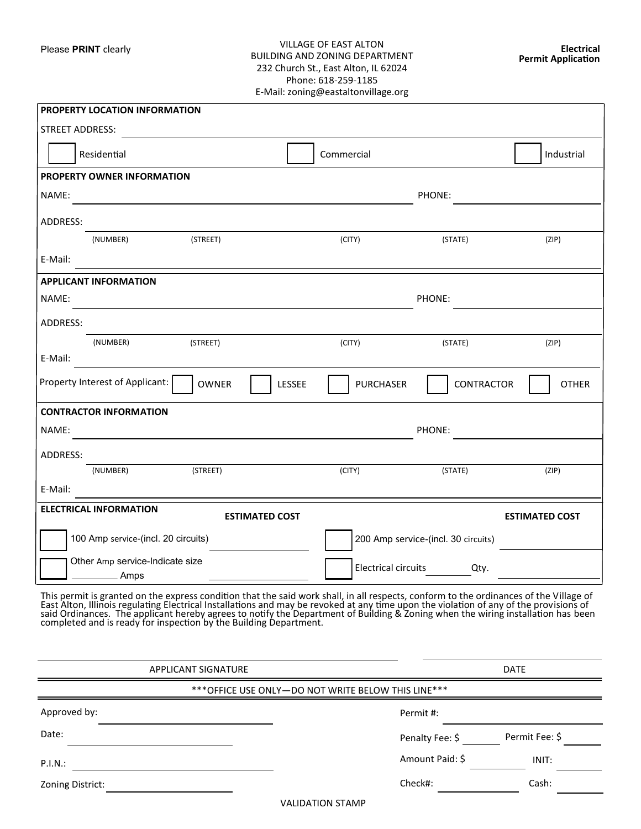## Please **PRINT** clearly VILLAGE OF EAST ALTON BUILDING AND ZONING DEPARTMENT 232 Church St., East Alton, IL 62024 Phone: 618-259-1185 E-Mail: zoning@eastaltonvillage.org

| PROPERTY LOCATION INFORMATION           |                                     |          |                       |        |                                     |               |                       |  |  |  |
|-----------------------------------------|-------------------------------------|----------|-----------------------|--------|-------------------------------------|---------------|-----------------------|--|--|--|
| <b>STREET ADDRESS:</b>                  |                                     |          |                       |        |                                     |               |                       |  |  |  |
|                                         | Residential                         |          |                       |        | Commercial                          |               | Industrial            |  |  |  |
|                                         | PROPERTY OWNER INFORMATION          |          |                       |        |                                     |               |                       |  |  |  |
| NAME:                                   |                                     |          |                       |        |                                     | PHONE:        |                       |  |  |  |
| ADDRESS:                                |                                     |          |                       |        |                                     |               |                       |  |  |  |
|                                         | (NUMBER)                            | (STREET) |                       |        | (CITY)                              | (STATE)       | (ZIP)                 |  |  |  |
| E-Mail:                                 |                                     |          |                       |        |                                     |               |                       |  |  |  |
|                                         | <b>APPLICANT INFORMATION</b>        |          |                       |        |                                     |               |                       |  |  |  |
| NAME:                                   |                                     |          |                       |        |                                     | PHONE:        |                       |  |  |  |
| ADDRESS:                                |                                     |          |                       |        |                                     |               |                       |  |  |  |
|                                         | (NUMBER)                            | (STREET) |                       |        | (CITY)                              | (STATE)       | (ZIP)                 |  |  |  |
| E-Mail:                                 |                                     |          |                       |        |                                     |               |                       |  |  |  |
|                                         | Property Interest of Applicant:     | OWNER    |                       | LESSEE | <b>PURCHASER</b>                    | CONTRACTOR    | <b>OTHER</b>          |  |  |  |
| <b>CONTRACTOR INFORMATION</b>           |                                     |          |                       |        |                                     |               |                       |  |  |  |
| NAME:                                   |                                     |          |                       |        |                                     | <b>PHONE:</b> |                       |  |  |  |
| ADDRESS:                                |                                     |          |                       |        |                                     |               |                       |  |  |  |
|                                         | (NUMBER)                            | (STREET) |                       |        | (CITY)                              | (STATE)       | (ZIP)                 |  |  |  |
| E-Mail:                                 |                                     |          |                       |        |                                     |               |                       |  |  |  |
|                                         | <b>ELECTRICAL INFORMATION</b>       |          | <b>ESTIMATED COST</b> |        |                                     |               | <b>ESTIMATED COST</b> |  |  |  |
|                                         | 100 Amp service-(incl. 20 circuits) |          |                       |        | 200 Amp service-(incl. 30 circuits) |               |                       |  |  |  |
| Other Amp service-Indicate size<br>Amps |                                     |          |                       |        | <b>Electrical circuits</b>          | Qty.          |                       |  |  |  |

This permit is granted on the express condition that the said work shall, in all respects, conform to the ordinances of the Village of East Alton, Illinois regulating Electrical Installations and may be revoked at any time upon the violation of any of the provisions of said Ordinances. The applicant hereby agrees to notify the Department of Building & Zoning when the wiring installation has been completed and is ready for inspection by the Building Department.

| APPLICANT SIGNATURE                                    |                         | <b>DATE</b>    |  |  |  |  |  |  |  |
|--------------------------------------------------------|-------------------------|----------------|--|--|--|--|--|--|--|
| *** OFFICE USE ONLY - DO NOT WRITE BELOW THIS LINE *** |                         |                |  |  |  |  |  |  |  |
| Approved by:                                           | Permit #:               |                |  |  |  |  |  |  |  |
| Date:                                                  | Penalty Fee: \$         | Permit Fee: \$ |  |  |  |  |  |  |  |
| P.I.N.:                                                | Amount Paid: \$         | INIT:          |  |  |  |  |  |  |  |
| Zoning District:                                       | Check#:                 | Cash:          |  |  |  |  |  |  |  |
|                                                        | <b>VALIDATION STAMP</b> |                |  |  |  |  |  |  |  |